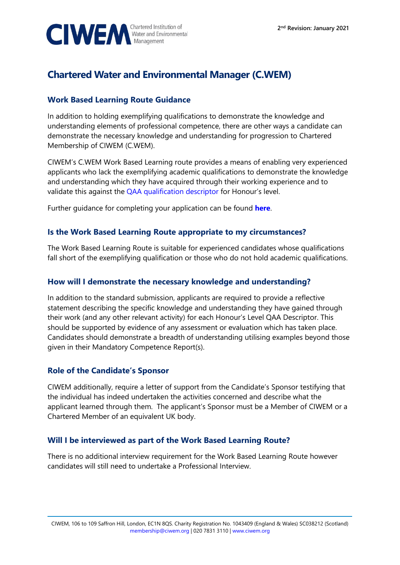

# **Chartered Water and Environmental Manager (C.WEM)**

## **Work Based Learning Route Guidance**

In addition to holding exemplifying qualifications to demonstrate the knowledge and understanding elements of professional competence, there are other ways a candidate can demonstrate the necessary knowledge and understanding for progression to Chartered Membership of CIWEM (C.WEM).

CIWEM's C.WEM Work Based Learning route provides a means of enabling very experienced applicants who lack the exemplifying academic qualifications to demonstrate the knowledge and understanding which they have acquired through their working experience and to validate this against the [QAA qualification descriptor](https://www.qaa.ac.uk/quality-code/qualifications-and-credit-frameworks) for Honour's level.

Further guidance for completing your application can be found **[here](https://www.ciwem.org/membership/how-to-become-a-cwem)**.

#### **Is the Work Based Learning Route appropriate to my circumstances?**

The Work Based Learning Route is suitable for experienced candidates whose qualifications fall short of the exemplifying qualification or those who do not hold academic qualifications.

#### **How will I demonstrate the necessary knowledge and understanding?**

In addition to the standard submission, applicants are required to provide a reflective statement describing the specific knowledge and understanding they have gained through their work (and any other relevant activity) for each Honour's Level QAA Descriptor. This should be supported by evidence of any assessment or evaluation which has taken place. Candidates should demonstrate a breadth of understanding utilising examples beyond those given in their Mandatory Competence Report(s).

#### **Role of the Candidate's Sponsor**

CIWEM additionally, require a letter of support from the Candidate's Sponsor testifying that the individual has indeed undertaken the activities concerned and describe what the applicant learned through them. The applicant's Sponsor must be a Member of CIWEM or a Chartered Member of an equivalent UK body.

### **Will I be interviewed as part of the Work Based Learning Route?**

There is no additional interview requirement for the Work Based Learning Route however candidates will still need to undertake a Professional Interview.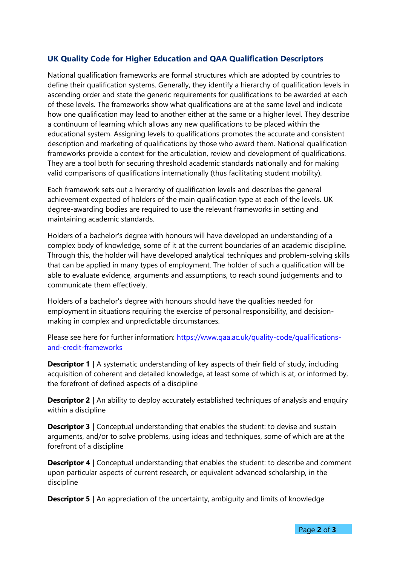### **UK Quality Code for Higher Education and QAA Qualification Descriptors**

National qualification frameworks are formal structures which are adopted by countries to define their qualification systems. Generally, they identify a hierarchy of qualification levels in ascending order and state the generic requirements for qualifications to be awarded at each of these levels. The frameworks show what qualifications are at the same level and indicate how one qualification may lead to another either at the same or a higher level. They describe a continuum of learning which allows any new qualifications to be placed within the educational system. Assigning levels to qualifications promotes the accurate and consistent description and marketing of qualifications by those who award them. National qualification frameworks provide a context for the articulation, review and development of qualifications. They are a tool both for securing threshold academic standards nationally and for making valid comparisons of qualifications internationally (thus facilitating student mobility).

Each framework sets out a hierarchy of qualification levels and describes the general achievement expected of holders of the main qualification type at each of the levels. UK degree-awarding bodies are required to use the relevant frameworks in setting and maintaining academic standards.

Holders of a bachelor's degree with honours will have developed an understanding of a complex body of knowledge, some of it at the current boundaries of an academic discipline. Through this, the holder will have developed analytical techniques and problem-solving skills that can be applied in many types of employment. The holder of such a qualification will be able to evaluate evidence, arguments and assumptions, to reach sound judgements and to communicate them effectively.

Holders of a bachelor's degree with honours should have the qualities needed for employment in situations requiring the exercise of personal responsibility, and decisionmaking in complex and unpredictable circumstances.

Please see here for further information: [https://www.qaa.ac.uk/quality-code/qualifications](https://www.qaa.ac.uk/quality-code/qualifications-and-credit-frameworks)[and-credit-frameworks](https://www.qaa.ac.uk/quality-code/qualifications-and-credit-frameworks)

**Descriptor 1** | A systematic understanding of key aspects of their field of study, including acquisition of coherent and detailed knowledge, at least some of which is at, or informed by, the forefront of defined aspects of a discipline

**Descriptor 2** | An ability to deploy accurately established techniques of analysis and enquiry within a discipline

**Descriptor 3** | Conceptual understanding that enables the student: to devise and sustain arguments, and/or to solve problems, using ideas and techniques, some of which are at the forefront of a discipline

**Descriptor 4** | Conceptual understanding that enables the student: to describe and comment upon particular aspects of current research, or equivalent advanced scholarship, in the discipline

**Descriptor 5** | An appreciation of the uncertainty, ambiguity and limits of knowledge